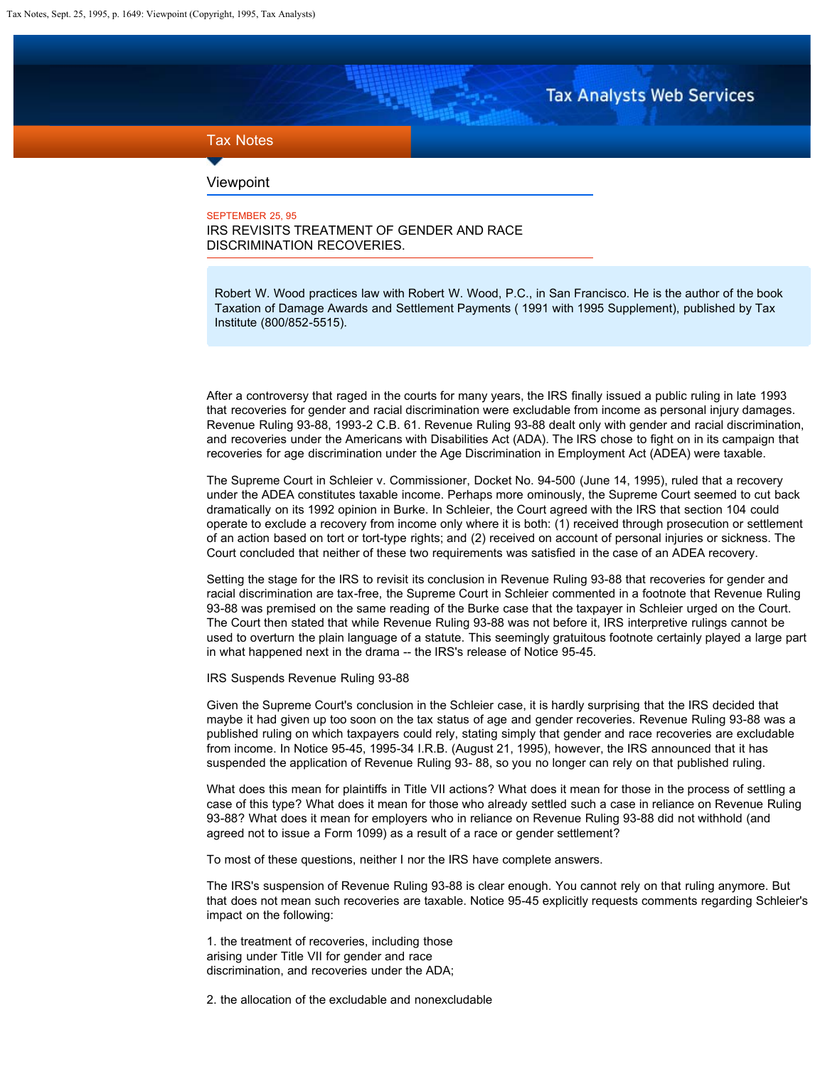**Tax Analysts Web Services** 

## <span id="page-0-0"></span>Tax Notes

## Viewpoint

## SEPTEMBER 25, 95 IRS REVISITS TREATMENT OF GENDER AND RACE DISCRIMINATION RECOVERIES.

Robert W. Wood practices law with Robert W. Wood, P.C., in San Francisco. He is the author of the book Taxation of Damage Awards and Settlement Payments ( 1991 with 1995 Supplement), published by Tax Institute (800/852-5515).

After a controversy that raged in the courts for many years, the IRS finally issued a public ruling in late 1993 that recoveries for gender and racial discrimination were excludable from income as personal injury damages. Revenue Ruling 93-88, 1993-2 C.B. 61. Revenue Ruling 93-88 dealt only with gender and racial discrimination, and recoveries under the Americans with Disabilities Act (ADA). The IRS chose to fight on in its campaign that recoveries for age discrimination under the Age Discrimination in Employment Act (ADEA) were taxable.

The Supreme Court in Schleier v. Commissioner, Docket No. 94-500 (June 14, 1995), ruled that a recovery under the ADEA constitutes taxable income. Perhaps more ominously, the Supreme Court seemed to cut back dramatically on its 1992 opinion in Burke. In Schleier, the Court agreed with the IRS that section 104 could operate to exclude a recovery from income only where it is both: (1) received through prosecution or settlement of an action based on tort or tort-type rights; and (2) received on account of personal injuries or sickness. The Court concluded that neither of these two requirements was satisfied in the case of an ADEA recovery.

Setting the stage for the IRS to revisit its conclusion in Revenue Ruling 93-88 that recoveries for gender and racial discrimination are tax-free, the Supreme Court in Schleier commented in a footnote that Revenue Ruling 93-88 was premised on the same reading of the Burke case that the taxpayer in Schleier urged on the Court. The Court then stated that while Revenue Ruling 93-88 was not before it, IRS interpretive rulings cannot be used to overturn the plain language of a statute. This seemingly gratuitous footnote certainly played a large part in what happened next in the drama -- the IRS's release of Notice 95-45.

IRS Suspends Revenue Ruling 93-88

Given the Supreme Court's conclusion in the Schleier case, it is hardly surprising that the IRS decided that maybe it had given up too soon on the tax status of age and gender recoveries. Revenue Ruling 93-88 was a published ruling on which taxpayers could rely, stating simply that gender and race recoveries are excludable from income. In Notice 95-45, 1995-34 I.R.B. (August 21, 1995), however, the IRS announced that it has suspended the application of Revenue Ruling 93- 88, so you no longer can rely on that published ruling.

What does this mean for plaintiffs in Title VII actions? What does it mean for those in the process of settling a case of this type? What does it mean for those who already settled such a case in reliance on Revenue Ruling 93-88? What does it mean for employers who in reliance on Revenue Ruling 93-88 did not withhold (and agreed not to issue a Form 1099) as a result of a race or gender settlement?

To most of these questions, neither I nor the IRS have complete answers.

The IRS's suspension of Revenue Ruling 93-88 is clear enough. You cannot rely on that ruling anymore. But that does not mean such recoveries are taxable. Notice 95-45 explicitly requests comments regarding Schleier's impact on the following:

1. the treatment of recoveries, including those arising under Title VII for gender and race discrimination, and recoveries under the ADA;

2. the allocation of the excludable and nonexcludable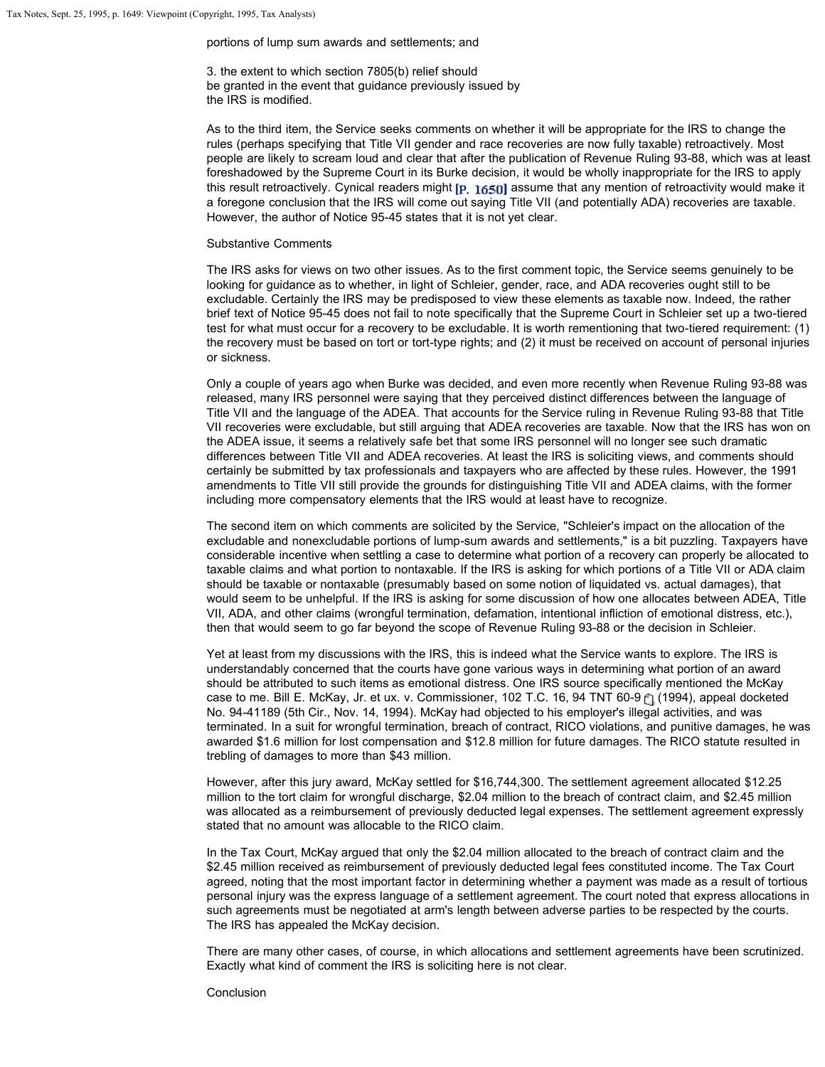portions of lump sum awards and settlements; and

3. the extent to which section 7805(b) relief should be granted in the event that guidance previously issued by the IRS is modified.

As to the third item, the Service seeks comments on whether it will be appropriate for the IRS to change the rules (perhaps specifying that Title VII gender and race recoveries are now fully taxable) retroactively. Most people are likely to scream loud and clear that after the publication of Revenue Ruling 93-88, which was at least foreshadowed by the Supreme Court in its Burke decision, it would be wholly inappropriate for the IRS to apply this result retroactively. Cynical readers might  $[p, 1650]$  assume that any mention of retroactivity would make it a foregone conclusion that the IRS will come out saying Title VII (and potentially ADA) recoveries are taxable. However, the author of Notice 95-45 states that it is not yet clear.

## Substantive Comments

The IRS asks for views on two other issues. As to the first comment topic, the Service seems genuinely to be looking for guidance as to whether, in light of Schleier, gender, race, and ADA recoveries ought still to be excludable. Certainly the IRS may be predisposed to view these elements as taxable now. Indeed, the rather brief text of Notice 95-45 does not fail to note specifically that the Supreme Court in Schleier set up a two-tiered test for what must occur for a recovery to be excludable. It is worth rementioning that two-tiered requirement: (1) the recovery must be based on tort or tort-type rights; and (2) it must be received on account of personal injuries or sickness.

Only a couple of years ago when Burke was decided, and even more recently when Revenue Ruling 93-88 was released, many IRS personnel were saying that they perceived distinct differences between the language of Title VII and the language of the ADEA. That accounts for the Service ruling in Revenue Ruling 93-88 that Title VII recoveries were excludable, but still arguing that ADEA recoveries are taxable. Now that the IRS has won on the ADEA issue, it seems a relatively safe bet that some IRS personnel will no longer see such dramatic differences between Title VII and ADEA recoveries. At least the IRS is soliciting views, and comments should certainly be submitted by tax professionals and taxpayers who are affected by these rules. However, the 1991 amendments to Title VII still provide the grounds for distinguishing Title VII and ADEA claims, with the former including more compensatory elements that the IRS would at least have to recognize.

The second item on which comments are solicited by the Service, "Schleier's impact on the allocation of the excludable and nonexcludable portions of lump-sum awards and settlements," is a bit puzzling. Taxpayers have considerable incentive when settling a case to determine what portion of a recovery can properly be allocated to taxable claims and what portion to nontaxable. If the IRS is asking for which portions of a Title VII or ADA claim should be taxable or nontaxable (presumably based on some notion of liquidated vs. actual damages), that would seem to be unhelpful. If the IRS is asking for some discussion of how one allocates between ADEA, Title VII, ADA, and other claims (wrongful termination, defamation, intentional infliction of emotional distress, etc.), then that would seem to go far beyond the scope of Revenue Ruling 93-88 or the decision in Schleier.

Yet at least from my discussions with the IRS, this is indeed what the Service wants to explore. The IRS is understandably concerned that the courts have gone various ways in determining what portion of an award should be attributed to such items as emotional distress. One IRS source specifically mentioned the McKay case to me. Bill E. McKay, Jr. et ux. v. Commissioner, 102 T.C. 16, 94 TNT 60-9 (1 (1994), appeal docketed No. 94-41189 (5th Cir., Nov. 14, 1994). McKay had objected to his employer's illegal activities, and was terminated. In a suit for wrongful termination, breach of contract, RICO violations, and punitive damages, he was awarded \$1.6 million for lost compensation and \$12.8 million for future damages. The RICO statute resulted in trebling of damages to more than \$43 million.

However, after this jury award, McKay settled for \$16,744,300. The settlement agreement allocated \$12.25 million to the tort claim for wrongful discharge, \$2.04 million to the breach of contract claim, and \$2.45 million was allocated as a reimbursement of previously deducted legal expenses. The settlement agreement expressly stated that no amount was allocable to the RICO claim.

In the Tax Court, McKay argued that only the \$2.04 million allocated to the breach of contract claim and the \$2.45 million received as reimbursement of previously deducted legal fees constituted income. The Tax Court agreed, noting that the most important factor in determining whether a payment was made as a result of tortious personal injury was the express language of a settlement agreement. The court noted that express allocations in such agreements must be negotiated at arm's length between adverse parties to be respected by the courts. The IRS has appealed the McKay decision.

There are many other cases, of course, in which allocations and settlement agreements have been scrutinized. Exactly what kind of comment the IRS is soliciting here is not clear.

Conclusion